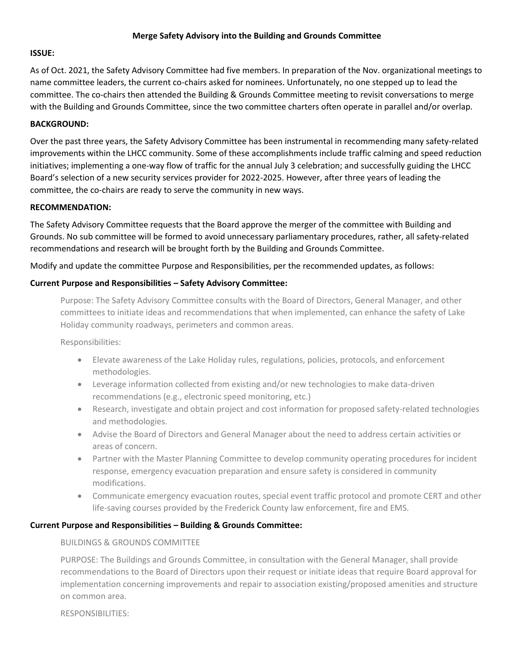#### **Merge Safety Advisory into the Building and Grounds Committee**

# **ISSUE:**

As of Oct. 2021, the Safety Advisory Committee had five members. In preparation of the Nov. organizational meetings to name committee leaders, the current co-chairs asked for nominees. Unfortunately, no one stepped up to lead the committee. The co-chairs then attended the Building & Grounds Committee meeting to revisit conversations to merge with the Building and Grounds Committee, since the two committee charters often operate in parallel and/or overlap.

#### **BACKGROUND:**

Over the past three years, the Safety Advisory Committee has been instrumental in recommending many safety-related improvements within the LHCC community. Some of these accomplishments include traffic calming and speed reduction initiatives; implementing a one-way flow of traffic for the annual July 3 celebration; and successfully guiding the LHCC Board's selection of a new security services provider for 2022-2025. However, after three years of leading the committee, the co-chairs are ready to serve the community in new ways.

#### **RECOMMENDATION:**

The Safety Advisory Committee requests that the Board approve the merger of the committee with Building and Grounds. No sub committee will be formed to avoid unnecessary parliamentary procedures, rather, all safety-related recommendations and research will be brought forth by the Building and Grounds Committee.

Modify and update the committee Purpose and Responsibilities, per the recommended updates, as follows:

### **Current Purpose and Responsibilities – Safety Advisory Committee:**

Purpose: The Safety Advisory Committee consults with the Board of Directors, General Manager, and other committees to initiate ideas and recommendations that when implemented, can enhance the safety of Lake Holiday community roadways, perimeters and common areas.

Responsibilities:

- Elevate awareness of the Lake Holiday rules, regulations, policies, protocols, and enforcement methodologies.
- Leverage information collected from existing and/or new technologies to make data-driven recommendations (e.g., electronic speed monitoring, etc.)
- Research, investigate and obtain project and cost information for proposed safety-related technologies and methodologies.
- Advise the Board of Directors and General Manager about the need to address certain activities or areas of concern.
- Partner with the Master Planning Committee to develop community operating procedures for incident response, emergency evacuation preparation and ensure safety is considered in community modifications.
- Communicate emergency evacuation routes, special event traffic protocol and promote CERT and other life-saving courses provided by the Frederick County law enforcement, fire and EMS.

### **Current Purpose and Responsibilities – Building & Grounds Committee:**

### BUILDINGS & GROUNDS COMMITTEE

PURPOSE: The Buildings and Grounds Committee, in consultation with the General Manager, shall provide recommendations to the Board of Directors upon their request or initiate ideas that require Board approval for implementation concerning improvements and repair to association existing/proposed amenities and structure on common area.

RESPONSIBILITIES: